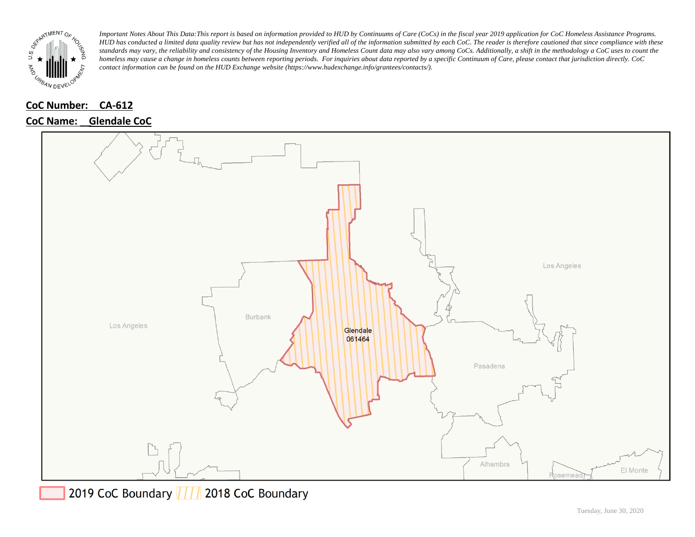

#### **CoC Number: CA-612**

## **CoC Name: \_\_ Glendale CoC**



2019 CoC Boundary | | | 2018 CoC Boundary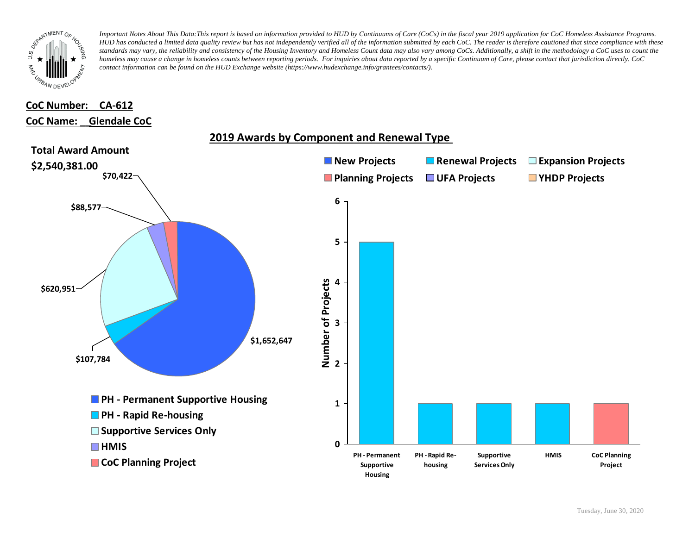

# **CoC Number: CA-612 CoC Name: \_\_ Glendale CoC**

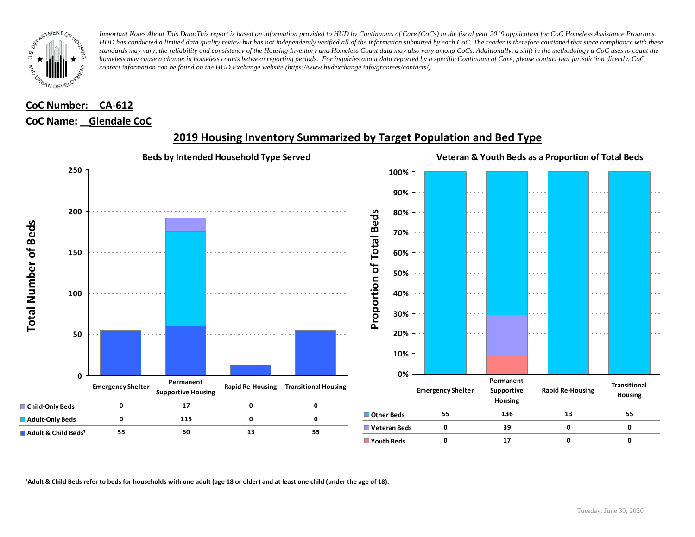

## **CoC Number: CA-612 CoC Name: \_\_ Glendale CoC**



#### **2019 Housing Inventory Summarized by Target Population and Bed Type**

<sup>1</sup> Adult & Child Beds refer to beds for households with one adult (age 18 or older) and at least one child (under the age of 18).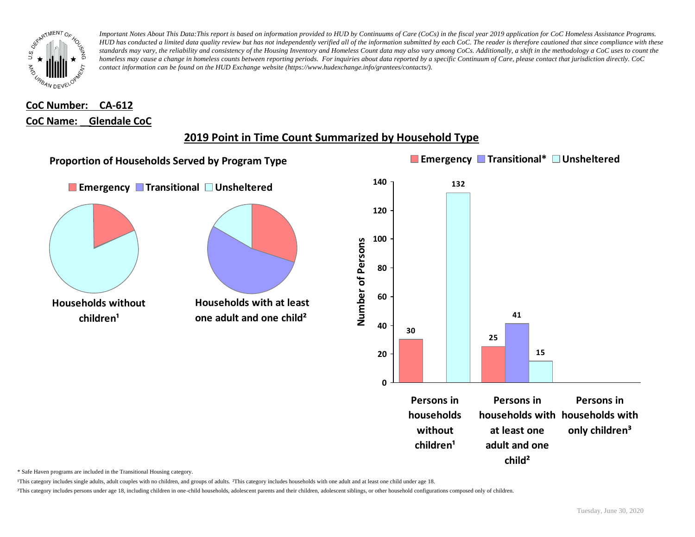

# **CoC Number: CA-612 CoC Name: \_\_ Glendale CoC**

# **2019 Point in Time Count Summarized by Household Type**



\* Safe Haven programs are included in the Transitional Housing category.

¹This category includes single adults, adult couples with no children, and groups of adults. ²This category includes households with one adult and at least one child under age 18.

³This category includes persons under age 18, including children in one-child households, adolescent parents and their children, adolescent siblings, or other household configurations composed only of children.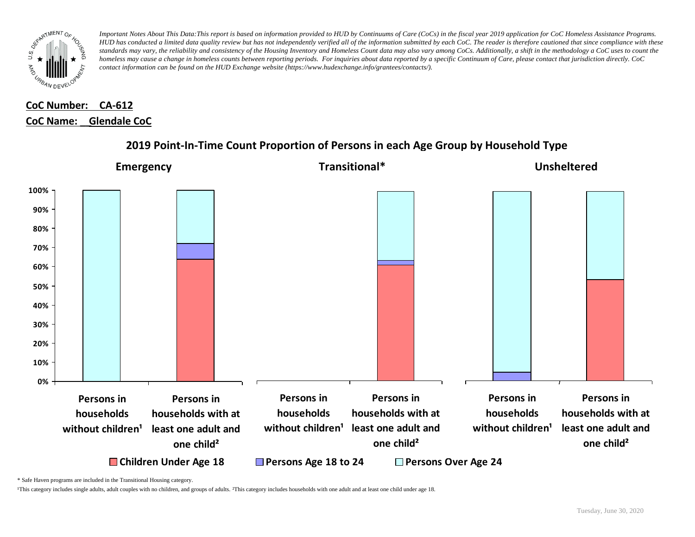

# **CoC Number: CA-612 CoC Name: \_\_ Glendale CoC**



### **2019 Point-In-Time Count Proportion of Persons in each Age Group by Household Type**

\* Safe Haven programs are included in the Transitional Housing category.

¹This category includes single adults, adult couples with no children, and groups of adults. ²This category includes households with one adult and at least one child under age 18.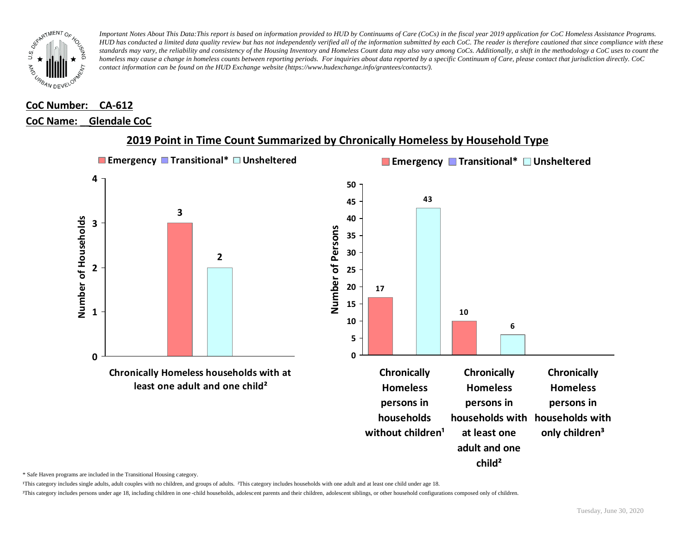

# **CoC Number: CA-612**

## **CoC Name: \_\_ Glendale CoC**



#### **2019 Point in Time Count Summarized by Chronically Homeless by Household Type**

\* Safe Haven programs are included in the Transitional Housing category.

¹This category includes single adults, adult couples with no children, and groups of adults. ²This category includes households with one adult and at least one child under age 18.

³This category includes persons under age 18, including children in one -child households, adolescent parents and their children, adolescent siblings, or other household configurations composed only of children.